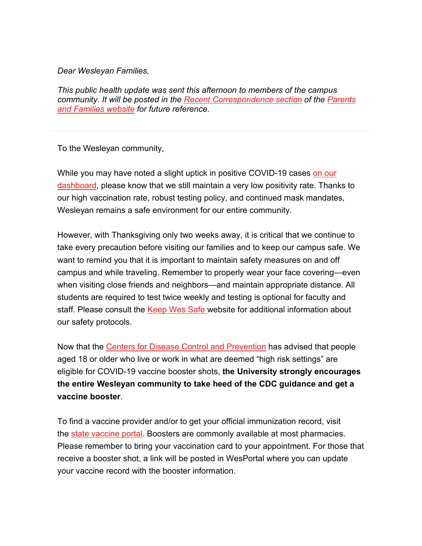## *Dear Wesleyan Families,*

*This public health update was sent this afternoon to members of the campus community. It will be posted in the [Recent Correspondence section](https://www.wesleyan.edu/parents/connected/2021-2022/recent-correspondence-2021-2022.html) of the [Parents](https://www.wesleyan.edu/parents/index.html)  [and Families website](https://www.wesleyan.edu/parents/index.html) for future reference.*

To the Wesleyan community,

While you may have noted a slight uptick in positive COVID-19 cases on our [dashboard,](https://www.wesleyan.edu/keep-wes-safe/dashboard.html) please know that we still maintain a very low positivity rate. Thanks to our high vaccination rate, robust testing policy, and continued mask mandates, Wesleyan remains a safe environment for our entire community.

However, with Thanksgiving only two weeks away, it is critical that we continue to take every precaution before visiting our families and to keep our campus safe. We want to remind you that it is important to maintain safety measures on and off campus and while traveling. Remember to properly wear your face covering—even when visiting close friends and neighbors—and maintain appropriate distance. All students are required to test twice weekly and testing is optional for faculty and staff. Please consult the [Keep Wes Safe](https://www.wesleyan.edu/keep-wes-safe/safety-guidelines/index.html) website for additional information about our safety protocols.

Now that the [Centers for Disease Control and Prevention](https://www.cdc.gov/coronavirus/2019-ncov/vaccines/booster-shot.html) has advised that people aged 18 or older who live or work in what are deemed "high risk settings" are eligible for COVID-19 vaccine booster shots, **the University strongly encourages the entire Wesleyan community to take heed of the CDC guidance and get a vaccine booster**.

To find a vaccine provider and/or to get your official immunization record, visit the [state vaccine portal.](https://portal.ct.gov/vaccine-portal/?language=en_US) Boosters are commonly available at most pharmacies. Please remember to bring your vaccination card to your appointment. For those that receive a booster shot, a link will be posted in WesPortal where you can update your vaccine record with the booster information.